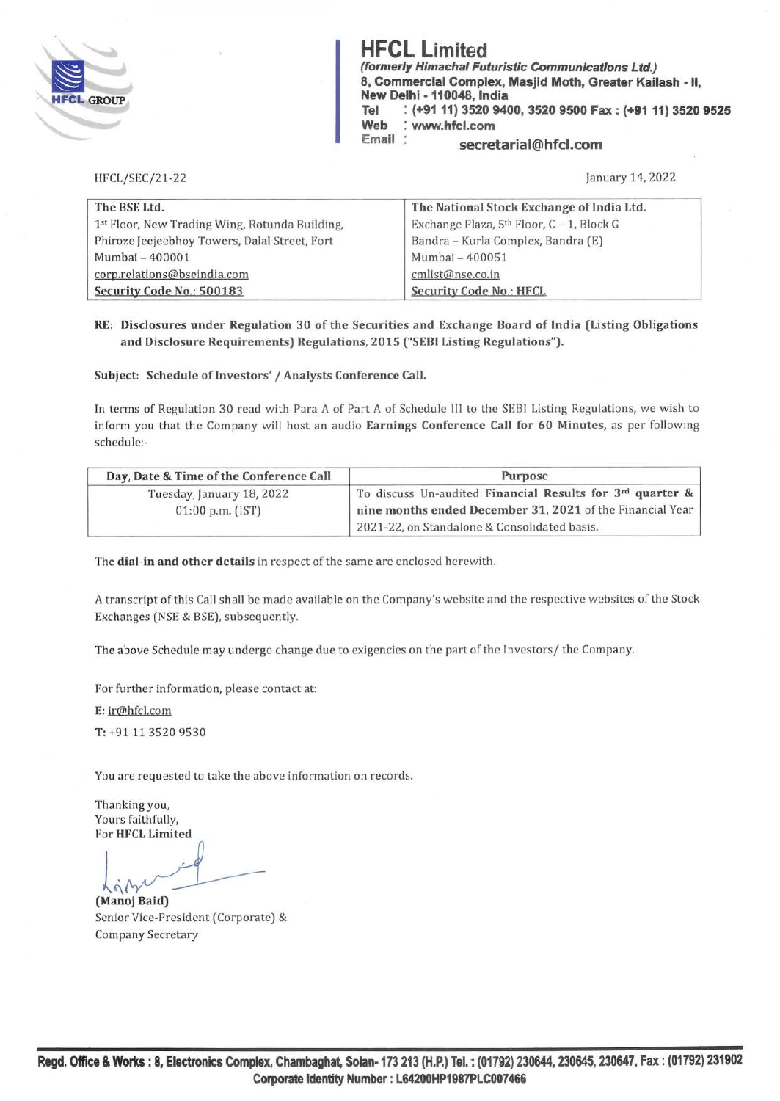

**HFCL Limited**<br>(formerly Himachal Futuristic Communications Ltd.) (formerly Himachal Futuristic Communications Ltd.)<br>8, Commercial Complex, Masjid Moth, Greater Kail<br>NFCL GROUP 8, Commercial Complex, Masjid Moth, Greater Kailash - 11, New Delhi -110048, India **Tel** : **(+91 11) 3520 9400, 3520 9500 Fax: (+9111) 3520 9525 Web** : **www.hfcl.com Email secretarial@hfcl.com** 

HFCL/SEC/21-22

January 14, 2022

| The BSE Ltd.                                   | The National Stock Exchange of India Ltd. |
|------------------------------------------------|-------------------------------------------|
| 1st Floor, New Trading Wing, Rotunda Building, | Exchange Plaza, 5th Floor, C - 1, Block G |
| Phiroze Jeejeebhoy Towers, Dalal Street, Fort  | Bandra – Kurla Complex, Bandra (E)        |
| Mumbai - 400001                                | Mumbai - 400051                           |
| corp.relations@bseindia.com                    | cmlist@nse.co.in                          |
| Security Code No.: 500183                      | <b>Security Code No.: HFCL</b>            |

**RE: Disclosures under Regulation 30 of the Securities and Exchange Board of India (Listing Obligations and Disclosure Requirements) Regulations, 2015 ("SEBI Listing Regulations").** 

## **Subject: Schedule of Investors'/ Analysts Conference Call.**

In terms of Regulation 30 read with Para A of Part A of Schedule III to the SEBI Listing Regulations, we wish to inform you that the Company will host an audio **Earnings Conference Call for 60 Minutes,** as per following schedule:-

| Day, Date & Time of the Conference Call         | Purpose                                                                                                                     |
|-------------------------------------------------|-----------------------------------------------------------------------------------------------------------------------------|
| Tuesday, January 18, 2022<br>$01:00$ p.m. (IST) | To discuss Un-audited Financial Results for $3^{rd}$ quarter &<br>nine months ended December 31, 2021 of the Financial Year |
|                                                 | 2021-22, on Standalone & Consolidated basis.                                                                                |

The **dial-in and other details** in respect of the same are enclosed herewith.

A transcript of this Call shall be made available on the Company's website and the respective websites of the Stock Exchanges (NSE & BSE), subsequently.

The above Schedule may undergo change due to exigencies on the part of the Investors/ the Company.

For further information, please contact at:

E: ir@hfcl. com

**T:** +9111 3520 9530

You are requested to take the above information on records.

Thanking you, Yours faithfully, For **HFCL Limited** 

t **(Manoj Baid)** 

Senior Vice-President (Corporate) & Company Secretary